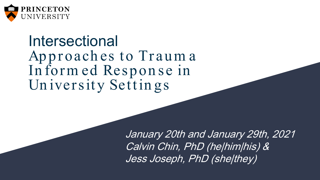

#### Intersectional Approaches to Trauma In form ed Respon se in Un iversity Settin gs

January 20th and January 29th, 2021 Calvin Chin, PhD (he|him|his) & Jess Joseph, PhD (she|they)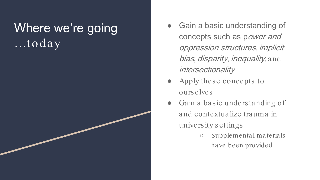#### Where we're going  $...$ today

- Gain a basic understanding of concepts such as power and oppression structures, implicit bias, disparity, inequality, and intersectionality
- Apply these concepts to ourselves
- Gain a basic understanding of and contextualize trauma in university settings
	- Supplemental materials have been provided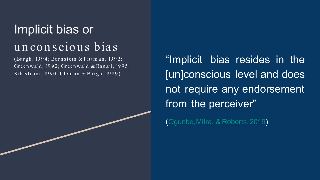### Implicit bias or unconscious bias

(Bargh, 1994; Bornstein & Pittman, 1992; Gr een wald, 19 9 2; Gr een wald & Ban aji, 19 9 5; Kih lstrom, 1990; Ulem an & Bargh, 1989)

"Implicit bias resides in the [un]conscious level and does not require any endorsement from the perceiver"

([Ogunbe,Mitra,](https://www.researchgate.net/publication/331904936_A_systematic_review_of_implicit_bias_in_health_care_A_call_for_intersectionality) & Roberts,2019)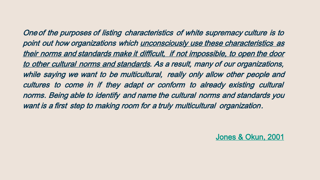Oneof the purposes of listing characteristics of white supremacy culture is to point out how organizations which unconsciously use these characteristics as their norms and standards make it difficult, if not impossible, to open the door to other cultural norms and standards. As <sup>a</sup> result, many of our organizations, while saying we want to be multicultural, really only allow other people and cultures to come in if they adapt or conform to already existing cultural norms. Being able to identify and name the cultural norms and standards you want is <sup>a</sup> first step to making room for <sup>a</sup> truly multicultural organization.

[Jones & Okun, 2001](http://www.cwsworkshop.org/PARC_site_B/dr-culture.html)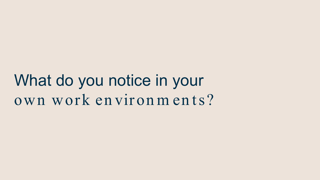What do you notice in your own work environm ents?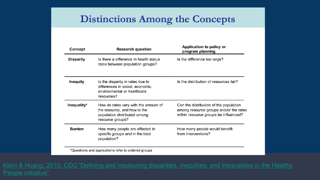#### **Distinctions Among the Concepts**

| <b>Research question</b>                                                                                                 | Application to policy or<br>program planning                                                                              |
|--------------------------------------------------------------------------------------------------------------------------|---------------------------------------------------------------------------------------------------------------------------|
| Is there a difference in health status<br>rates between population groups?                                               | Is the difference too large?                                                                                              |
| Is the disparity in rates due to<br>differences in social, economic,<br>environmental or healthcare<br>resources?        | Is the distribution of resources fair?                                                                                    |
| How do rates vary with the amount of<br>the resource, and how is the<br>population distributed among<br>resource groups? | Can the distribution of the population<br>among resource groups and/or the rates<br>within resource groups be influenced? |
| How many people are affected in<br>specific groups and in the total<br>population?                                       | How many people would benefit<br>from interventions?                                                                      |
|                                                                                                                          |                                                                                                                           |

\*Questions and applications refer to ordered groups

Klein & Huang, 2010, CDG ["Defining and measuring disparities, inequities, and inequalities in the Healthy](https://www.cdc.gov/nchs/ppt/nchs2010/41_klein.pdf) People initiative"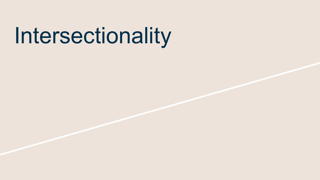## Intersectionality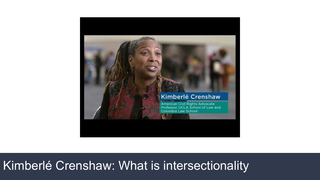

#### Kimberlé Crenshaw: What is intersectionality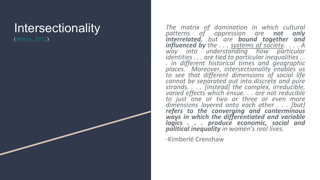#### Intersectionality

([Mir za, 20 12\)](https://www.sciencedirect.com/science/article/pii/S0277539512001525?casa_token=Ei28XFsS_ucAAAAA:auxoSUTi4obil9BOBX1BLwtyJG5cvpiG0CuIbEGMk-PB3mlLH3B_4tPkxmvpfhTXySRWjT5u1Q)

*The matrix of domination in which cultural patterns of oppression are not only interrelated, but are bound together and influenced by the . . . systems of society . . . . A* way into understanding how particular<br>identities ... are tied to particular inequalities ..<br>in different historical times and geographic<br>places. Moreover, intersectionality enables us *to see that different dimensions of social life cannot be separated out into discrete and pure strands. . . . [instead] the complex, irreducible, varied effects which ensue . . . are not reducible to just one or two or three or even more dimensions layered onto each other . . . [but] refers to the converging and conterminous ways in which the differentiated and variable logics . . . produce economic, social and political inequality in women's real lives .*

-Kimberlé Crenshaw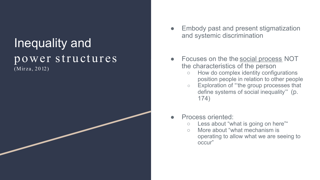#### Inequality and power structures (Mir za, 20 12)

- Embody past and present stigmatization and systemic discrimination
- Focuses on the the social process NOT the characteristics of the person
	- How do complex identity configurations position people in relation to other people
	- Exploration of "'the group processes that define systems of social inequality'" (p. 174)
- Process oriented:
	- Less about "what is going on here""
	- More about "what mechanism is operating to allow what we are seeing to occur"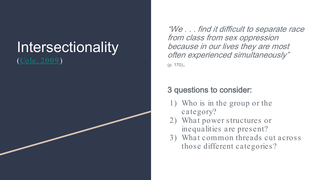

"We . . . find it difficult to separate race from class from sex oppression because in our lives they are most often experienced simultaneously" (p. 170).

#### 3 questions to consider:

- 1) Who is in the group or the category?
- 2) What power structures or inequalities are present?
- 3) What common threads cut across those different categories?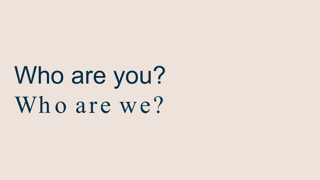Who are you? Who are we?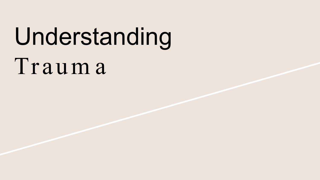# Understanding

Traum a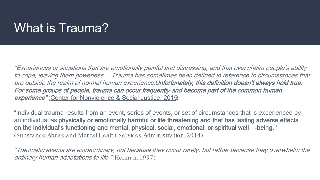#### What is Trauma?

"Experiences or situations that are emotionally painful and distressing, and that overwhelm people's ability to cope, leaving them powerless… Trauma has sometimes been defined in reference to circumstances that are outside the realm of normal human experience. Unfortunately, this definition doesn't always hold true. For some groups of people, trauma can occur frequently and become part of the common human experience" ([Center for Nonviolence & Social Justice, 2015\)](https://www.tfec.org/wp-content/uploads/Murk_WhatisTrauma.pdf)

"Individual trauma results from an event, series of events, or set of circumstances that is experienced by an individual as physically or emotionally harmful or life threatening and that has lasting adverse effects on the individual's functioning and mental, physical, social, emotional, or spiritual well -being." [\(Substance Abuse and Mental Health Services Administration, 2014\)](https://store.samhsa.gov/sites/default/files/d7/priv/sma14-4884.pdf)

"Traumatic events are extraordinary, not because they occur rarely, but rather because they overwhelm the ordinary human adaptations to life. "([Herman, 1997](https://www.indiebound.org/book/9780465061716))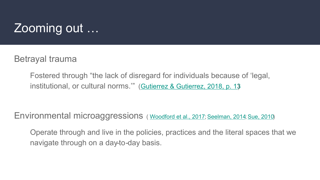#### Zooming out …

Betrayal trauma

Fostered through "the lack of disregard for individuals because of 'legal, institutional, or cultural norms.'" [\(Gutierrez & Gutierrez, 2018, p. 13\)](https://doi.org/10.19030/cier.v12i1.10258)

Environmental microaggressions ( [Woodford et al., 2017;](https://doi.org/10.1080/15313204.2016.1263817) [Seelman, 2014;](https://doi.org/10.1080/09540253.2014.935300) [Sue, 2010](https://www.indiebound.org/book/9780470491393))

Operate through and live in the policies, practices and the literal spaces that we navigate through on a day-to-day basis.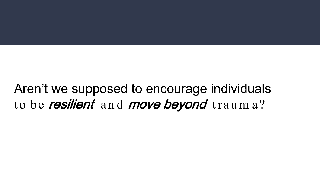Aren't we supposed to encourage individuals to be **resilient** and **move beyond** trauma?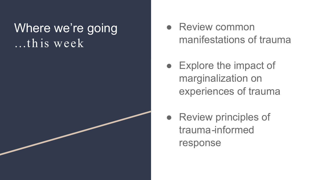#### Where we're going  $\overline{\ldots}$ th is week

- Review common manifestations of trauma
- Explore the impact of marginalization on experiences of trauma
- Review principles of trauma-informed response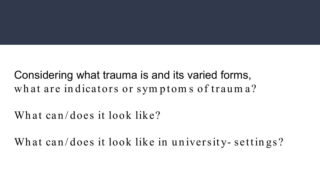Considering what trauma is and its varied forms, what are indicators or sym ptom s of traum a?

What can/does it look like?

What can/does it look like in university- settings?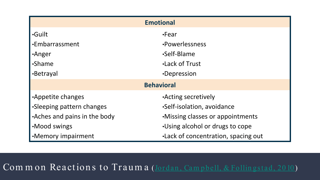| <b>Emotional</b>             |                                     |
|------------------------------|-------------------------------------|
| <b>Guilt</b>                 | $\cdot$ Fear                        |
| •Embarrassment               | •Powerlessness                      |
| •Anger                       | •Self-Blame                         |
| •Shame                       | <b>Lack of Trust</b>                |
| •Betrayal                    | •Depression                         |
| <b>Behavioral</b>            |                                     |
| Appetite changes             | <b>Acting secretively</b>           |
| •Sleeping pattern changes    | •Self-isolation, avoidance          |
| •Aches and pains in the body | . Missing classes or appointments   |
| •Mood swings                 | . Using alcohol or drugs to cope    |
| •Memory impairment           | .Lack of concentration, spacing out |

Common Reactions to Trauma (Jordan, Campbell, & Follingstad, 2010)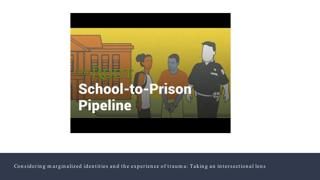

Considering marginalized identities and the experience of trauma: Taking an intersectional lens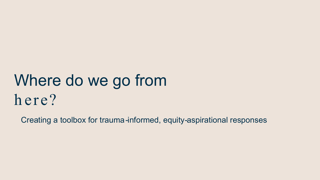### Where do we go from here?

Creating a toolbox for trauma-informed, equity-aspirational responses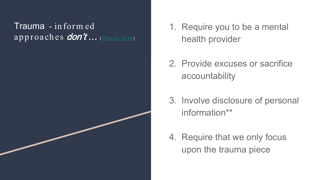### Trauma - inform ed

- approaches **don't** ... (Wilson, 2016)
- 1. Require you to be a mental health provider
- 2. Provide excuses or sacrifice accountability
- 3. Involve disclosure of personal information\*\*
- 4. Require that we only focus upon the trauma piece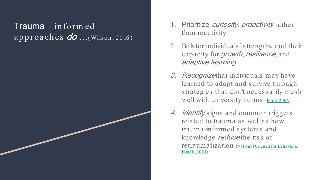### Trauma - inform ed



- 1. Prioritize *curiosity, proactivity* rather than reactivity
- 2. Bols ter individuals ' s trengths and their capacity for *growth*, *resilience*, and adaptive learning
- 3. Recognizethat individuals may have learned to adapt and survive through s trategies that don't neces s arily mes h well with university norms [\(Perry, 2006\)](https://onlinelibrary.wiley.com/doi/pdf/10.1002/ace.215?casa_token=XvIHLhHGRboAAAAA:I-KE-DOcg8xa-rXj6lhqISkahZkci16D3pOvEBgO6CPcpdmoAZ9gQaOzz8AYBg57i_ZVFcgY43DWzCU)
- 4. *Identify* signs and common triggers related to trauma as well as how trauma-informed s ys tems and knowledge reduce the risk of [retraumatization \(National Council for Behavioral](https://www.mentalhealthfirstaid.org/) Health, 2014)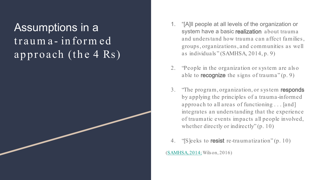#### Assumptions in a trauma - inform ed approach (the 4 Rs)

- 1. "[A]ll people at all levels of the organization or system have a basic realization about trauma and unders tand how trauma can affect families , groups , organizations , and communities as well as individuals " (SAMHSA, 2014, p. 9)
- 2. "People in the organization or s ys tem are als o able to **recognize** the signs of trauma" $(p, 9)$
- 3. The program, organization, or system responds by applying the principles of a trauma-informed approach to all areas of functioning . . . [and] integrates an unders tanding that the experience of traumatic events impacts all people involved, whether directly or indirectly" (p. 10)
- 4. "Seeks to **resist** re-traumatization" (p. 10)

([SAMHSA, 2014;](https://store.samhsa.gov/sites/default/files/d7/priv/sma14-4884.pdf) Wilson, 2016)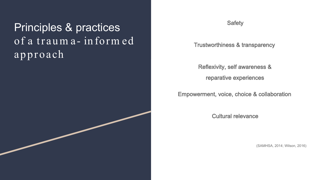Principles & practices of a traum a - inform ed approach

**Safety** 

Trustworthiness & transparency

Reflexivity, self awareness & reparative experiences

Empowerment, voice, choice & collaboration

Cultural relevance

(SAMHSA, 2014; Wilson, 2016)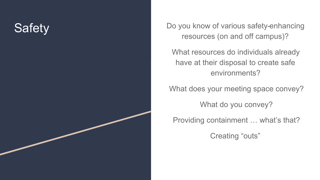

resources (on and off campus)?

What resources do individuals already have at their disposal to create safe environments?

What does your meeting space convey?

What do you convey?

Providing containment … what's that?

Creating "outs"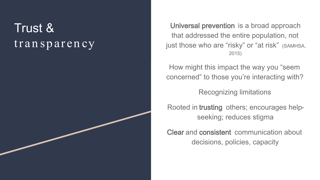#### Trust & transparency

Universal prevention is a broad approach that addressed the entire population, not just those who are "risky" or "at risk" (SAMHSA, 2015)

How might this impact the way you "seem concerned" to those you're interacting with?

Recognizing limitations

Rooted in trusting others; encourages helpseeking; reduces stigma

Clear and consistent communication about decisions, policies, capacity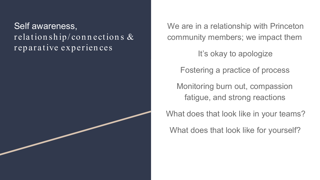#### Self awareness,  $\overline{\text{relation} \sin \text{ip}/\text{conn} \arctan \text{s} \& }$ reparative experiences

We are in a relationship with Princeton community members; we impact them

It's okay to apologize

Fostering a practice of process

Monitoring burn out, compassion fatigue, and strong reactions

What does that look like in your teams?

What does that look like for yourself?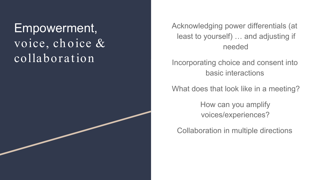#### Empowerment, voice, ch oice & collaboration

Acknowledging power differentials (at least to yourself) … and adjusting if needed

Incorporating choice and consent into basic interactions

What does that look like in a meeting?

How can you amplify voices/experiences?

Collaboration in multiple directions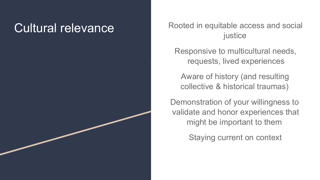Cultural relevance Rooted in equitable access and social justice

> Responsive to multicultural needs, requests, lived experiences

Aware of history (and resulting collective & historical traumas)

Demonstration of your willingness to validate and honor experiences that might be important to them

Staying current on context